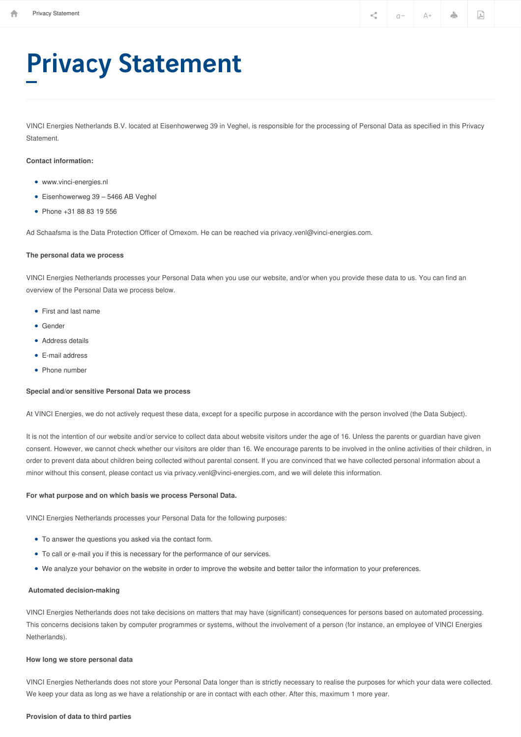# Privacy Statement

VINCI Energies Netherlands B.V. located at Eisenhowerweg 39 in Veghel, is responsible for the processing of Personal Data as specified in this Privacy Statement.

# **Contact information:**

- www.vinci-energies.nl
- Eisenhowerweg 39 5466 AB Veghel
- Phone +31 88 83 19 556

Ad Schaafsma is the Data Protection Officer of Omexom. He can be reached via privacy.venl@vinci-energies.com.

## **The personal data we process**

VINCI Energies Netherlands processes your Personal Data when you use our website, and/or when you provide these data to us. You can find an overview of the Personal Data we process below.

- First and last name
- Gender
- Address details
- E-mail address
- Phone number

# **Special and/or sensitive Personal Data we process**

At VINCI Energies, we do not actively request these data, except for a specific purpose in accordance with the person involved (the Data Subject).

It is not the intention of our website and/or service to collect data about website visitors under the age of 16. Unless the parents or guardian have given consent. However, we cannot check whether our visitors are older than 16. We encourage parents to be involved in the online activities of their children, in order to prevent data about children being collected without parental consent. If you are convinced that we have collected personal information about a minor without this consent, please contact us via privacy.venl@vinci-energies.com, and we will delete this information.

### **For what purpose and on which basis we process Personal Data.**

VINCI Energies Netherlands processes your Personal Data for the following purposes:

- To answer the questions you asked via the contact form.
- To call or e-mail you if this is necessary for the performance of our services.
- We analyze your behavior on the website in order to improve the website and better tailor the information to your preferences.

# **Automated decision-making**

VINCI Energies Netherlands does not take decisions on matters that may have (significant) consequences for persons based on automated processing. This concerns decisions taken by computer programmes or systems, without the involvement of a person (for instance, an employee of VINCI Energies Netherlands).

## **How long we store personal data**

VINCI Energies Netherlands does not store your Personal Data longer than is strictly necessary to realise the purposes for which your data were collected. We keep your data as long as we have a relationship or are in contact with each other. After this, maximum 1 more year.

#### **Provision of data to third parties**